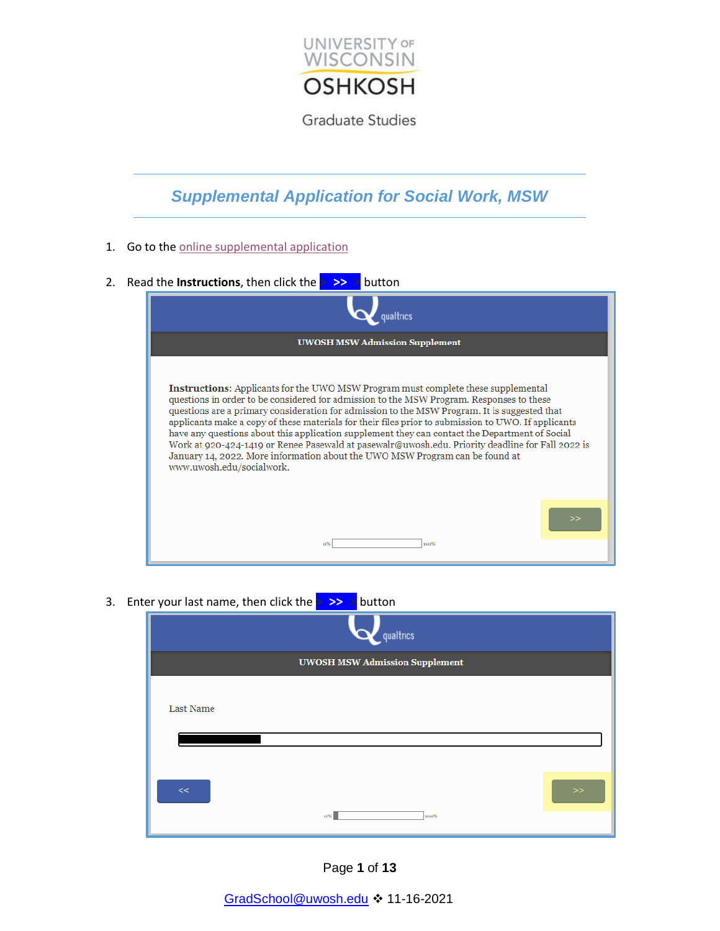

## *Supplemental Application for Social Work, MSW*

- 1. Go to the [online supplemental application](https://oshkosh.co1.qualtrics.com/jfe/form/SV_eCGm2Vms8PhrWeN?Q_JFE=qdg)
- 2. Read the **Instructions**, then click the **> >> >** button



3. Ente

|                  | qualtrics                             |      |
|------------------|---------------------------------------|------|
|                  | <b>UWOSH MSW Admission Supplement</b> |      |
| <b>Last Name</b> |                                       |      |
| <<               | $0\%$<br>100%                         | $>>$ |

Page **1** of **13**

[GradSchool@uwosh.edu](mailto:GradSchool@uwosh.edu) 11-16-2021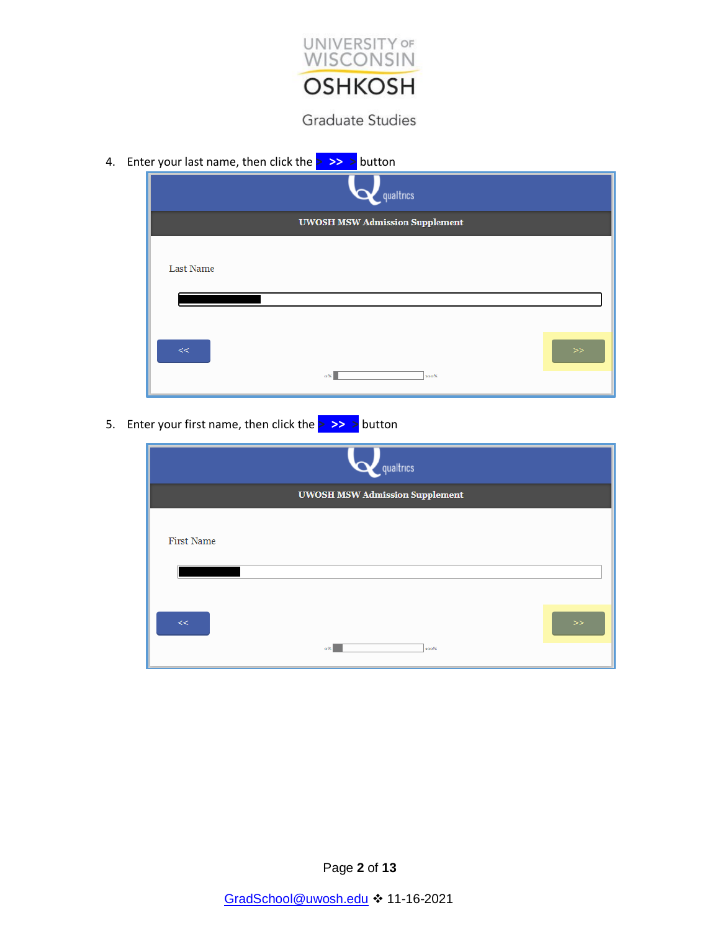

4. Enter your last name, then click the **> >> >** button



5. Enter your first name, then click the **> >> >** button

|                   | qualtrics                             |        |
|-------------------|---------------------------------------|--------|
|                   | <b>UWOSH MSW Admission Supplement</b> |        |
| <b>First Name</b> |                                       |        |
| $<<$              | 0%<br>100%                            | $>\!>$ |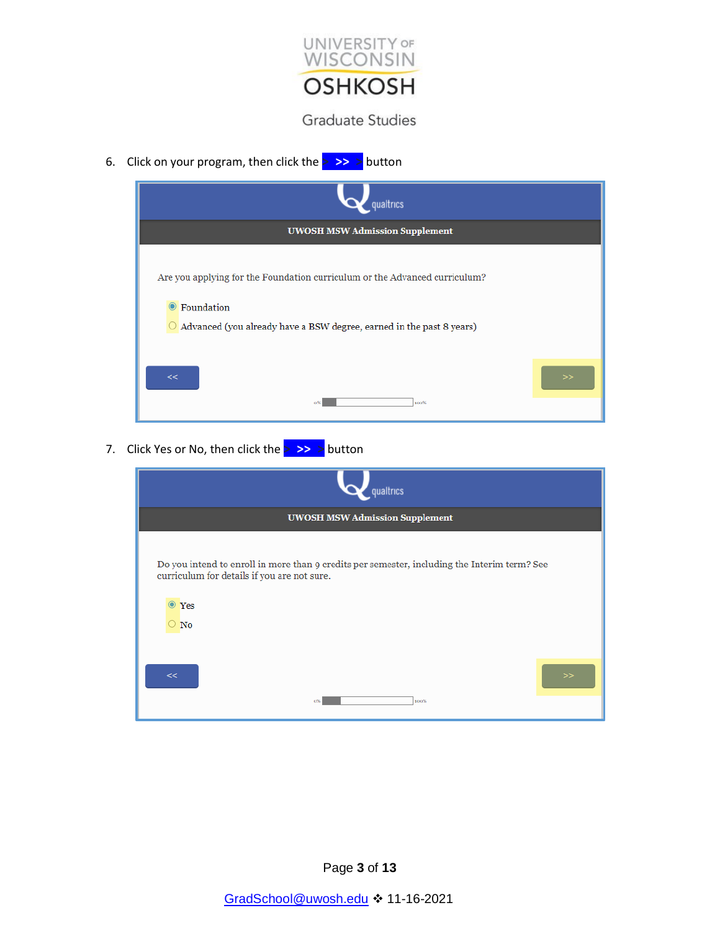

6. Click on your program, then click the **> >> >** button



7. Click Yes or No, then click the **> >> >** button

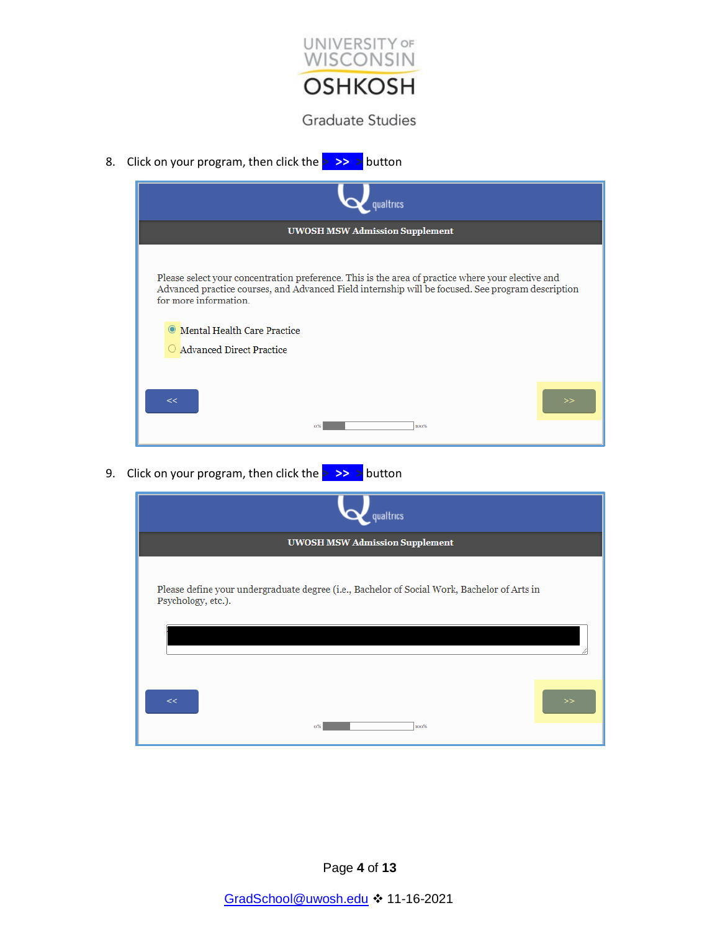

8. Click on your program, then click the **> >> >** button

| qualtrics                                                                                                                                                                                                                                                                                               |   |
|---------------------------------------------------------------------------------------------------------------------------------------------------------------------------------------------------------------------------------------------------------------------------------------------------------|---|
| <b>UWOSH MSW Admission Supplement</b>                                                                                                                                                                                                                                                                   |   |
| Please select your concentration preference. This is the area of practice where your elective and<br>Advanced practice courses, and Advanced Field internship will be focused. See program description<br>for more information.<br>● Mental Health Care Practice<br>$\bigcirc$ Advanced Direct Practice |   |
| <<                                                                                                                                                                                                                                                                                                      | > |
| 100%<br>o%                                                                                                                                                                                                                                                                                              |   |

9. Click on your program, then click the **> >> >** button

| qualtrics                                                                                                         |  |
|-------------------------------------------------------------------------------------------------------------------|--|
| <b>UWOSH MSW Admission Supplement</b>                                                                             |  |
| Please define your undergraduate degree (i.e., Bachelor of Social Work, Bachelor of Arts in<br>Psychology, etc.). |  |
|                                                                                                                   |  |
| <<<br>$\gg$<br>100%<br>0%                                                                                         |  |

Page **4** of **13**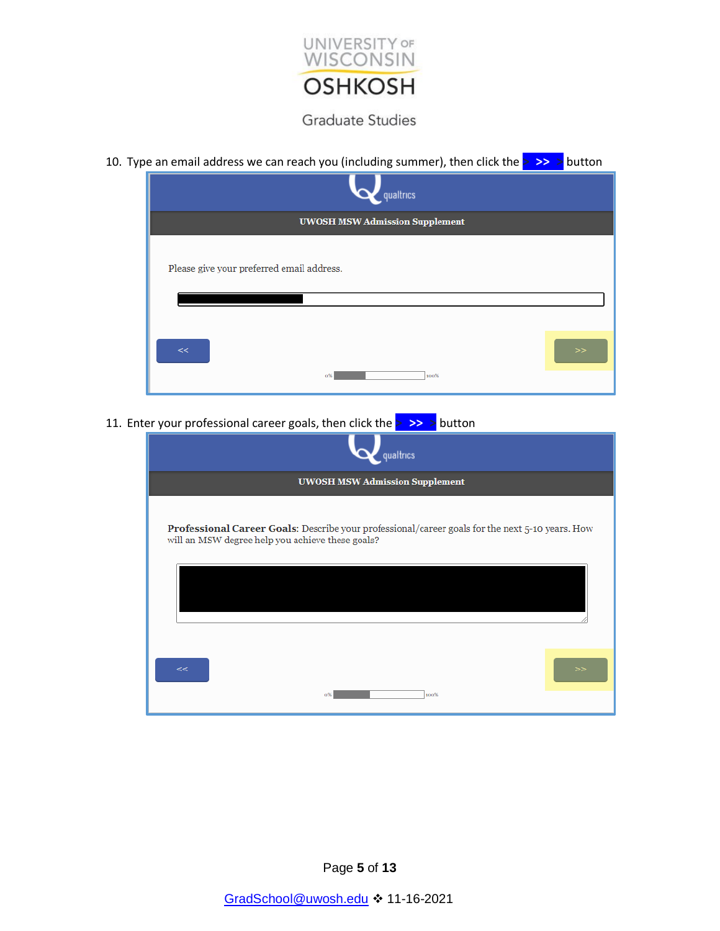

| 10. Type an email address we can reach you (including summer), then click the $>$ >> > button |  |
|-----------------------------------------------------------------------------------------------|--|
| qualtrics                                                                                     |  |
| <b>UWOSH MSW Admission Supplement</b>                                                         |  |
| Please give your preferred email address.                                                     |  |
| <<<br>$\gg$                                                                                   |  |
| 100%<br>0%                                                                                    |  |

11. Enter your professional career goals, then click the **> >> >** button

| qualtrics                                                                                                                                           |
|-----------------------------------------------------------------------------------------------------------------------------------------------------|
| <b>UWOSH MSW Admission Supplement</b>                                                                                                               |
| Professional Career Goals: Describe your professional/career goals for the next 5-10 years. How<br>will an MSW degree help you achieve these goals? |
|                                                                                                                                                     |
| <<<br>><br>100%<br>0%                                                                                                                               |

Page **5** of **13**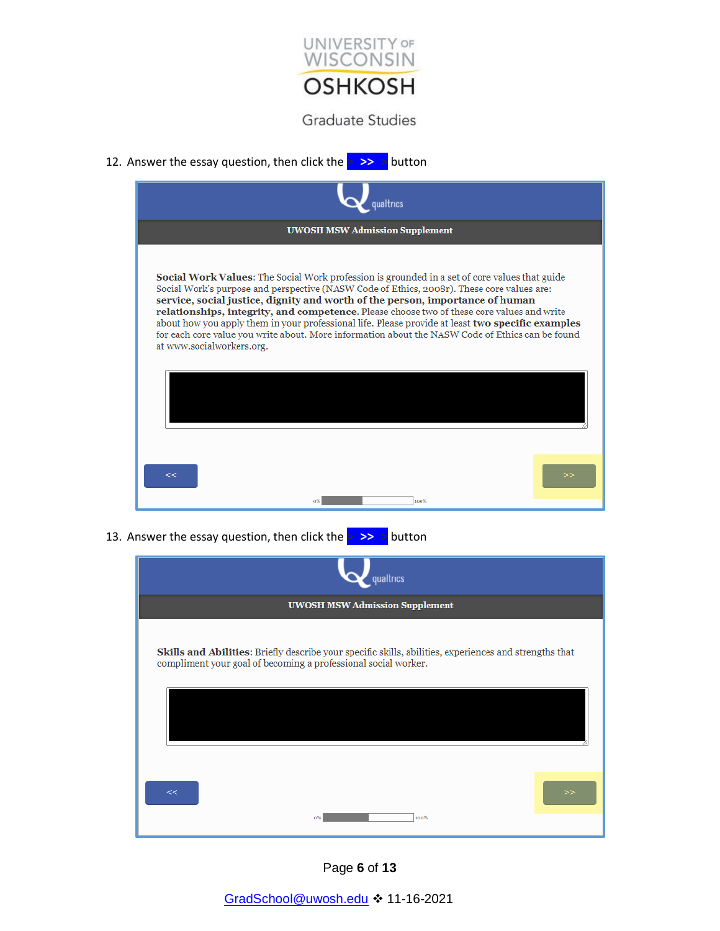

12. Answer the essay question, then click the **> >> >** button

| qualtrics                                                                                                                                                                                                                                                                                                                                                                                                                                                                                                                                                                                                        |
|------------------------------------------------------------------------------------------------------------------------------------------------------------------------------------------------------------------------------------------------------------------------------------------------------------------------------------------------------------------------------------------------------------------------------------------------------------------------------------------------------------------------------------------------------------------------------------------------------------------|
| <b>UWOSH MSW Admission Supplement</b>                                                                                                                                                                                                                                                                                                                                                                                                                                                                                                                                                                            |
| Social Work Values: The Social Work profession is grounded in a set of core values that guide<br>Social Work's purpose and perspective (NASW Code of Ethics, 2008r). These core values are:<br>service, social justice, dignity and worth of the person, importance of human<br>relationships, integrity, and competence. Please choose two of these core values and write<br>about how you apply them in your professional life. Please provide at least two specific examples<br>for each core value you write about. More information about the NASW Code of Ethics can be found<br>at www.socialworkers.org. |
| <<<br>100%                                                                                                                                                                                                                                                                                                                                                                                                                                                                                                                                                                                                       |

13. Answer the essay question, then click the **> >> >** button

| qualtrics                                                                                                                                                                |   |
|--------------------------------------------------------------------------------------------------------------------------------------------------------------------------|---|
| <b>UWOSH MSW Admission Supplement</b>                                                                                                                                    |   |
| Skills and Abilities: Briefly describe your specific skills, abilities, experiences and strengths that<br>compliment your goal of becoming a professional social worker. |   |
|                                                                                                                                                                          |   |
| <<<br>100%<br>0%                                                                                                                                                         | > |

Page **6** of **13**

[GradSchool@uwosh.edu](mailto:GradSchool@uwosh.edu) 11-16-2021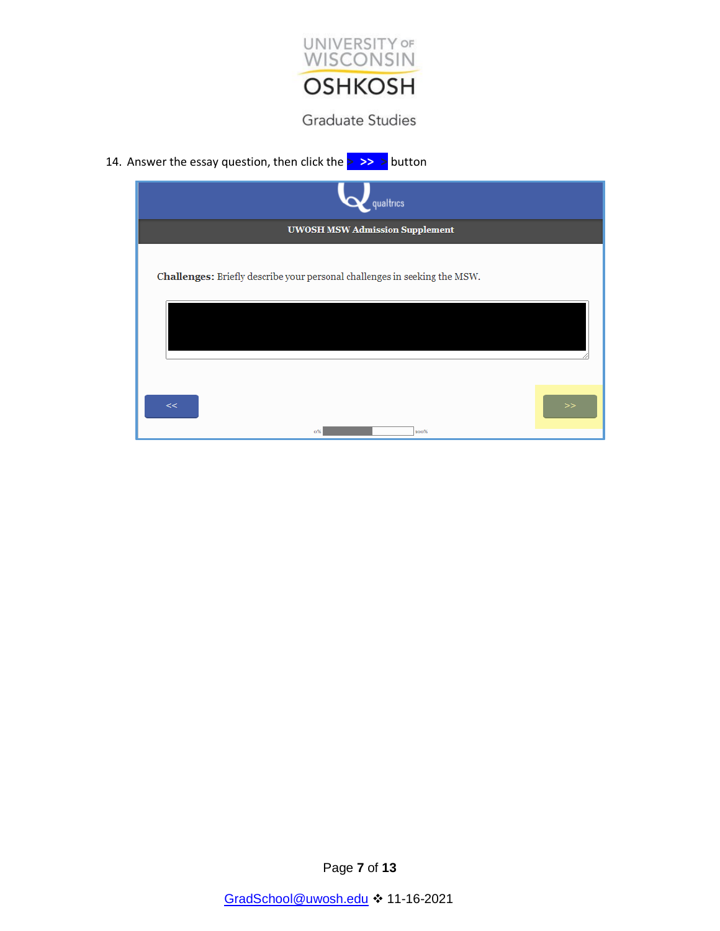

14. Answer the essay question, then click the **> >> >** button



Page **7** of **13**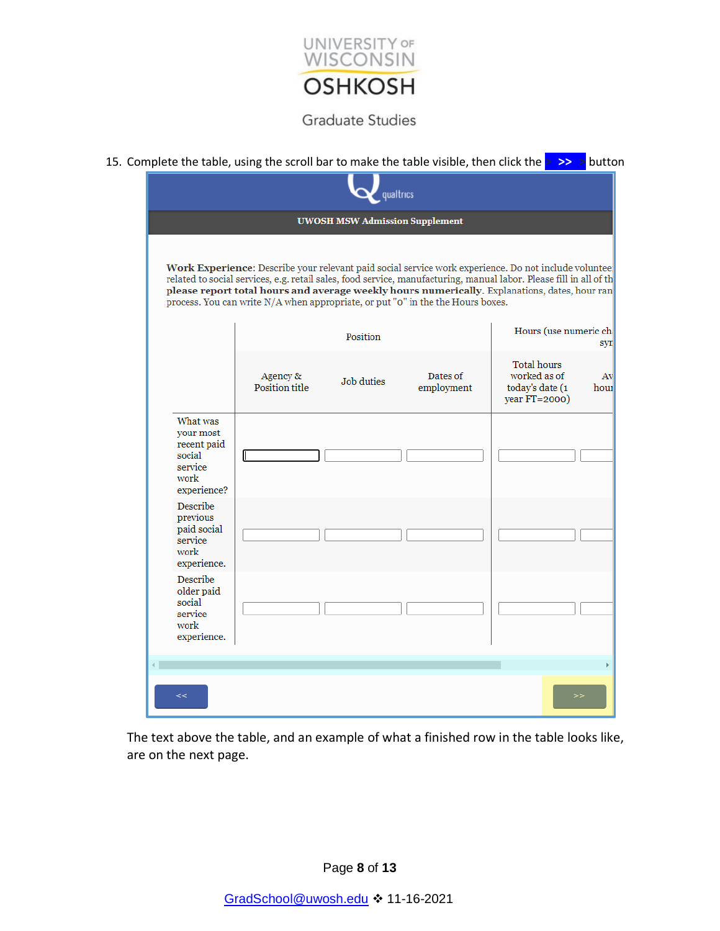

|                                                                                  |                                                                                 | qualtrics                             |                        |                                                                                                                                                                                                                                                                                                                             |            |
|----------------------------------------------------------------------------------|---------------------------------------------------------------------------------|---------------------------------------|------------------------|-----------------------------------------------------------------------------------------------------------------------------------------------------------------------------------------------------------------------------------------------------------------------------------------------------------------------------|------------|
|                                                                                  |                                                                                 | <b>UWOSH MSW Admission Supplement</b> |                        |                                                                                                                                                                                                                                                                                                                             |            |
|                                                                                  | process. You can write N/A when appropriate, or put "0" in the the Hours boxes. |                                       |                        | Work Experience: Describe your relevant paid social service work experience. Do not include voluntee<br>related to social services, e.g. retail sales, food service, manufacturing, manual labor. Please fill in all of th<br>please report total hours and average weekly hours numerically. Explanations, dates, hour ran |            |
|                                                                                  |                                                                                 | Position                              |                        | Hours (use numeric ch                                                                                                                                                                                                                                                                                                       | syr        |
|                                                                                  | Agency &<br>Position title                                                      | Job duties                            | Dates of<br>employment | <b>Total hours</b><br>worked as of<br>today's date (1<br>year FT=2000)                                                                                                                                                                                                                                                      | Av<br>hour |
| What was<br>your most<br>recent paid<br>social<br>service<br>work<br>experience? |                                                                                 |                                       |                        |                                                                                                                                                                                                                                                                                                                             |            |
| Describe<br>previous<br>paid social<br>service<br>work<br>experience.            |                                                                                 |                                       |                        |                                                                                                                                                                                                                                                                                                                             |            |
| Describe<br>older paid<br>social<br>service<br>work<br>experience.               |                                                                                 |                                       |                        |                                                                                                                                                                                                                                                                                                                             |            |
|                                                                                  |                                                                                 |                                       |                        |                                                                                                                                                                                                                                                                                                                             |            |
| <<                                                                               |                                                                                 |                                       |                        |                                                                                                                                                                                                                                                                                                                             |            |

The text above the table, and an example of what a finished row in the table looks like, are on the next page.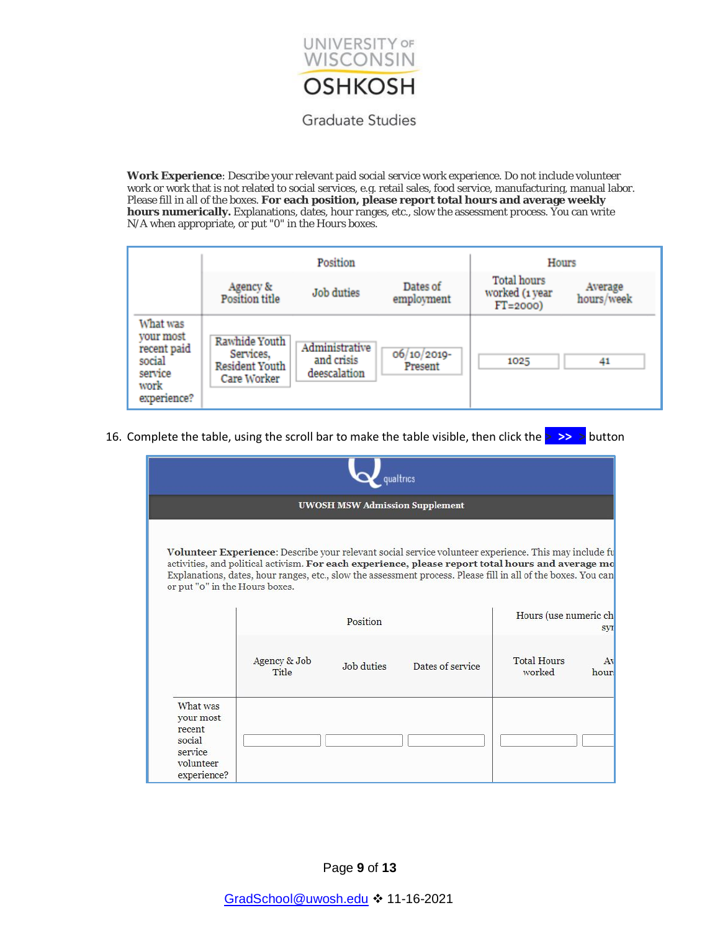

**Work Experience**: Describe your relevant paid social service work experience. Do not include volunteer work or work that is not related to social services, e.g. retail sales, food service, manufacturing, manual labor. Please fill in all of the boxes. **For each position, please report total hours and average weekly hours numerically.** Explanations, dates, hour ranges, etc., slow the assessment process. You can write N/A when appropriate, or put "0" in the Hours boxes.

|                                                                                  | Position                                                           |                                              |                        | Hours                                        |                       |  |
|----------------------------------------------------------------------------------|--------------------------------------------------------------------|----------------------------------------------|------------------------|----------------------------------------------|-----------------------|--|
|                                                                                  | Agency &<br><b>Position title</b>                                  | <b>Job</b> duties                            | Dates of<br>employment | Total hours<br>worked (1 year<br>$FT = 2000$ | Average<br>hours/week |  |
| What was<br>vour most<br>recent paid<br>social<br>service<br>work<br>experience? | Rawhide Youth<br>Services,<br><b>Resident Youth</b><br>Care Worker | Administrative<br>and crisis<br>deescalation | 06/10/2019-<br>Present | 1025                                         | 41                    |  |

16. Complete the table, using the scroll bar to make the table visible, then click the **> >> >** button

| qualtrics                                                                        |                              |                                       |                  |                                                                                                                                                                                                                                                                                                                             |  |
|----------------------------------------------------------------------------------|------------------------------|---------------------------------------|------------------|-----------------------------------------------------------------------------------------------------------------------------------------------------------------------------------------------------------------------------------------------------------------------------------------------------------------------------|--|
|                                                                                  |                              | <b>UWOSH MSW Admission Supplement</b> |                  |                                                                                                                                                                                                                                                                                                                             |  |
| or put "o" in the Hours boxes.                                                   |                              |                                       |                  | Volunteer Experience: Describe your relevant social service volunteer experience. This may include fu<br>activities, and political activism. For each experience, please report total hours and average mo<br>Explanations, dates, hour ranges, etc., slow the assessment process. Please fill in all of the boxes. You can |  |
|                                                                                  |                              | Position                              |                  | Hours (use numeric ch<br>syr                                                                                                                                                                                                                                                                                                |  |
|                                                                                  | Agency & Job<br><b>Title</b> | Job duties                            | Dates of service | <b>Total Hours</b><br>Av<br>worked<br>hours                                                                                                                                                                                                                                                                                 |  |
| What was<br>your most<br>recent<br>social<br>service<br>volunteer<br>experience? |                              |                                       |                  |                                                                                                                                                                                                                                                                                                                             |  |

Page **9** of **13**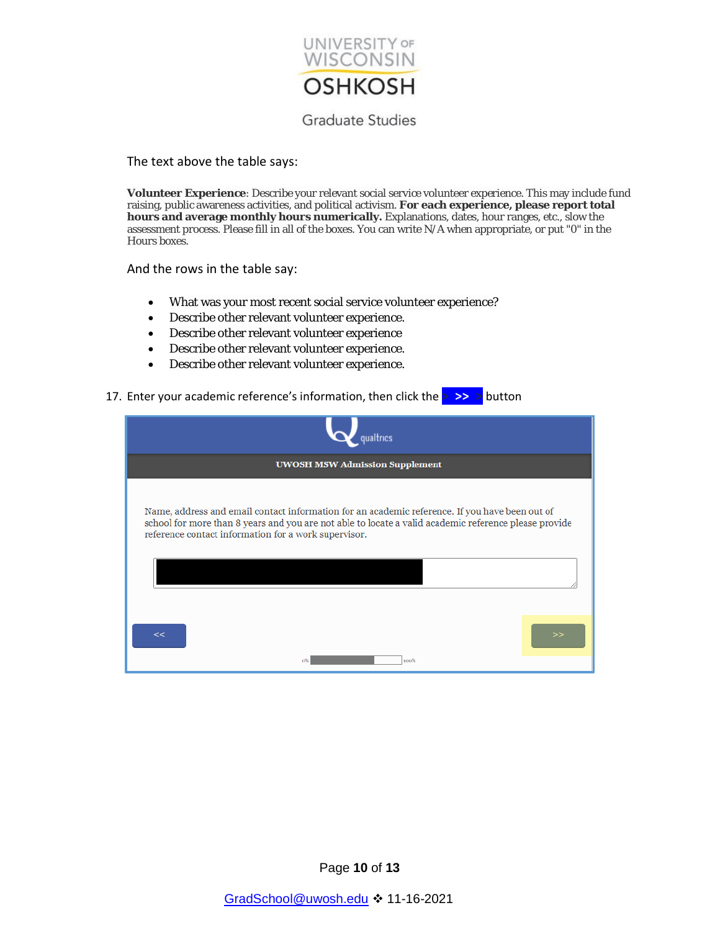

The text above the table says:

**Volunteer Experience**: Describe your relevant social service volunteer experience. This may include fund raising, public awareness activities, and political activism. **For each experience, please report total hours and average monthly hours numerically.** Explanations, dates, hour ranges, etc., slow the assessment process. Please fill in all of the boxes. You can write N/A when appropriate, or put "0" in the Hours boxes.

And the rows in the table say:

- What was your most recent social service volunteer experience?
- Describe other relevant volunteer experience.
- Describe other relevant volunteer experience
- Describe other relevant volunteer experience.
- Describe other relevant volunteer experience.
- 17. Enter your academic reference's information, then click the **> >> >** button

| oualtrics                                                                                                                                                                                                                                                       |  |
|-----------------------------------------------------------------------------------------------------------------------------------------------------------------------------------------------------------------------------------------------------------------|--|
| <b>UWOSH MSW Admission Supplement</b>                                                                                                                                                                                                                           |  |
| Name, address and email contact information for an academic reference. If you have been out of<br>school for more than 8 years and you are not able to locate a valid academic reference please provide<br>reference contact information for a work supervisor. |  |
| 22<br>0%<br>100%                                                                                                                                                                                                                                                |  |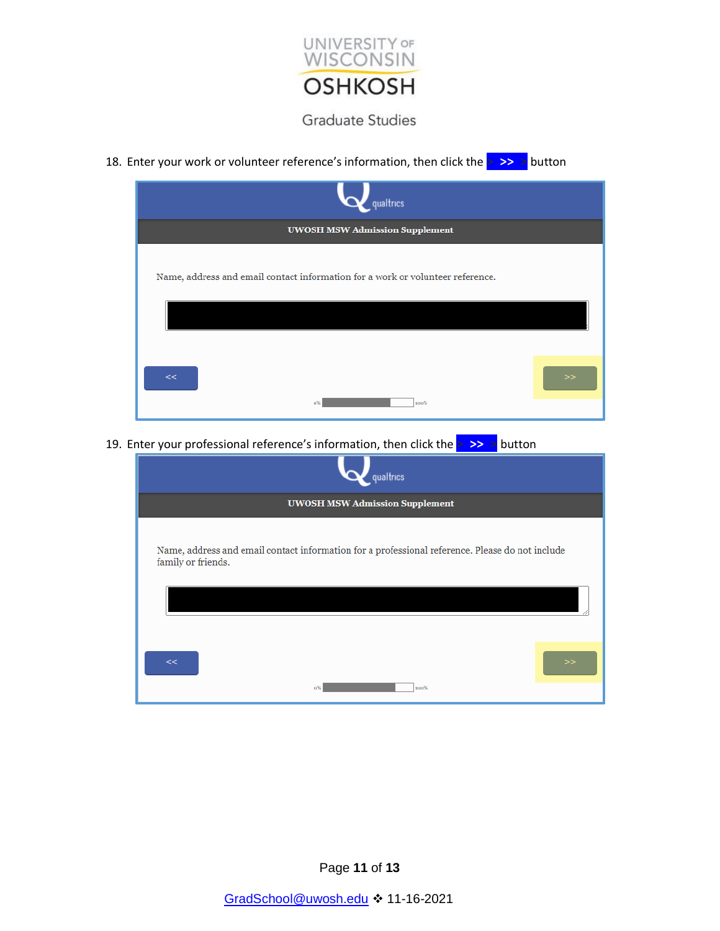

18. Enter your work or volunteer reference's information, then click the **> >> >** button

| qualtrics                                                                      |   |
|--------------------------------------------------------------------------------|---|
| <b>UWOSH MSW Admission Supplement</b>                                          |   |
| Name, address and email contact information for a work or volunteer reference. |   |
| <<<br>100%<br>0%                                                               | > |

19. Enter your professional reference's information, then click the **> >> >** button

| qualtrics                                                                                                             |   |
|-----------------------------------------------------------------------------------------------------------------------|---|
| <b>UWOSH MSW Admission Supplement</b>                                                                                 |   |
| Name, address and email contact information for a professional reference. Please do not include<br>family or friends. |   |
| <<<br>100%<br>0%                                                                                                      | > |

Page **11** of **13**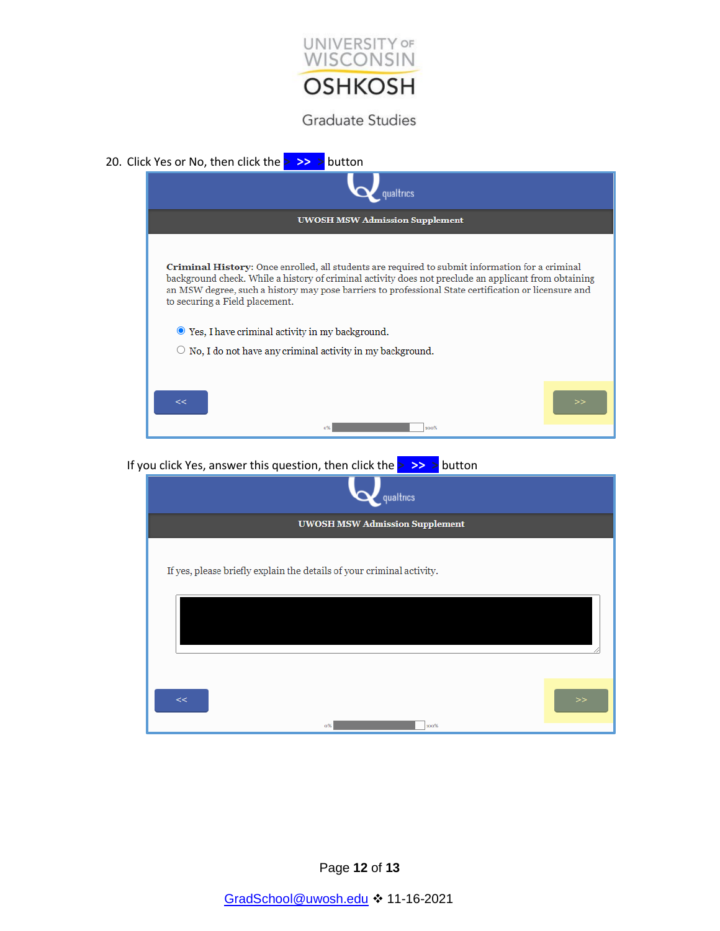

| 20. Click Yes or No, then click the $>$ >> > button |  |  |  |  |
|-----------------------------------------------------|--|--|--|--|
|                                                     |  |  |  |  |



If you click Yes, answer this question, then click the **> >> >** button

| qualtrics                                                             |   |
|-----------------------------------------------------------------------|---|
| <b>UWOSH MSW Admission Supplement</b>                                 |   |
| If yes, please briefly explain the details of your criminal activity. |   |
|                                                                       |   |
| <<                                                                    | > |
| 100%<br>$0\%$                                                         |   |

Page **12** of **13**